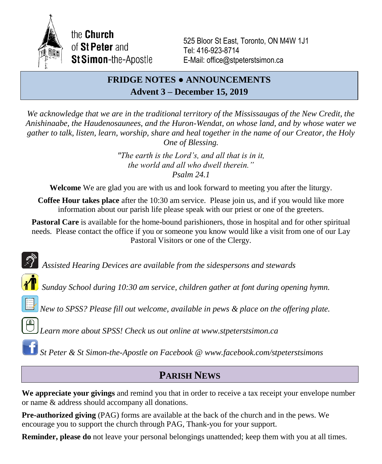

the **Church** of St Peter and **St Simon-the-Apostle** 

525 Bloor St East, Toronto, ON M4W 1J1 Tel: 416-923-8714 E-Mail: office@stpeterstsimon.ca

## **FRIDGE NOTES ● ANNOUNCEMENTS Advent 3 – December 15, 2019**

*We acknowledge that we are in the traditional territory of the Mississaugas of the New Credit, the Anishinaabe, the Haudenosaunees, and the Huron-Wendat, on whose land, and by whose water we gather to talk, listen, learn, worship, share and heal together in the name of our Creator, the Holy One of Blessing.*

> *"The earth is the Lord's, and all that is in it, the world and all who dwell therein." Psalm 24.1*

**Welcome** We are glad you are with us and look forward to meeting you after the liturgy.

**Coffee Hour takes place** after the 10:30 am service. Please join us, and if you would like more information about our parish life please speak with our priest or one of the greeters.

**Pastoral Care** is available for the home-bound parishioners, those in hospital and for other spiritual needs. Please contact the office if you or someone you know would like a visit from one of our Lay Pastoral Visitors or one of the Clergy.

*Assisted Hearing Devices are available from the sidespersons and stewards*



*Sunday School during 10:30 am service, children gather at font during opening hymn.*

*New to SPSS? Please fill out welcome, available in pews & place on the offering plate.*

*Learn more about SPSS! Check us out online at www.stpeterstsimon.ca*

*St Peter & St Simon-the-Apostle on Facebook @ www.facebook.com/stpeterstsimons*

# **PARISH NEWS**

**We appreciate your givings** and remind you that in order to receive a tax receipt your envelope number or name & address should accompany all donations.

**Pre-authorized giving** (PAG) forms are available at the back of the church and in the pews. We encourage you to support the church through PAG, Thank-you for your support.

**Reminder, please do** not leave your personal belongings unattended; keep them with you at all times.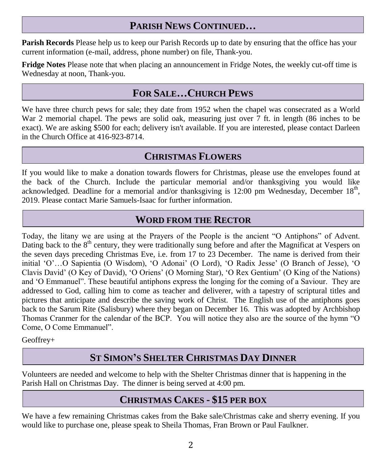## **PARISH NEWS CONTINUED…**

**Parish Records** Please help us to keep our Parish Records up to date by ensuring that the office has your current information (e-mail, address, phone number) on file, Thank-you.

**Fridge Notes** Please note that when placing an announcement in Fridge Notes, the weekly cut-off time is Wednesday at noon, Thank-you.

## **FOR SALE…CHURCH PEWS**

We have three church pews for sale; they date from 1952 when the chapel was consecrated as a World War 2 memorial chapel. The pews are solid oak, measuring just over 7 ft. in length (86 inches to be exact). We are asking \$500 for each; delivery isn't available. If you are interested, please contact Darleen in the Church Office at 416-923-8714.

## **CHRISTMAS FLOWERS**

If you would like to make a donation towards flowers for Christmas, please use the envelopes found at the back of the Church. Include the particular memorial and/or thanksgiving you would like acknowledged. Deadline for a memorial and/or thanksgiving is 12:00 pm Wednesday, December  $18<sup>th</sup>$ , 2019. Please contact Marie Samuels-Isaac for further information.

## **WORD FROM THE RECTOR**

Today, the litany we are using at the Prayers of the People is the ancient "O Antiphons" of Advent. Dating back to the 8<sup>th</sup> century, they were traditionally sung before and after the Magnificat at Vespers on the seven days preceding Christmas Eve, i.e. from 17 to 23 December. The name is derived from their initial 'O'…O Sapientia (O Wisdom), 'O Adonai' (O Lord), 'O Radix Jesse' (O Branch of Jesse), 'O Clavis David' (O Key of David), 'O Oriens' (O Morning Star), 'O Rex Gentium' (O King of the Nations) and 'O Emmanuel". These beautiful antiphons express the longing for the coming of a Saviour. They are addressed to God, calling him to come as teacher and deliverer, with a tapestry of scriptural titles and pictures that anticipate and describe the saving work of Christ. The English use of the antiphons goes back to the Sarum Rite (Salisbury) where they began on December 16. This was adopted by Archbishop Thomas Cranmer for the calendar of the BCP. You will notice they also are the source of the hymn "O Come, O Come Emmanuel".

Geoffrey+

## **ST SIMON'S SHELTER CHRISTMAS DAY DINNER**

Volunteers are needed and welcome to help with the Shelter Christmas dinner that is happening in the Parish Hall on Christmas Day. The dinner is being served at 4:00 pm.

## **CHRISTMAS CAKES - \$15 PER BOX**

We have a few remaining Christmas cakes from the Bake sale/Christmas cake and sherry evening. If you would like to purchase one, please speak to Sheila Thomas, Fran Brown or Paul Faulkner.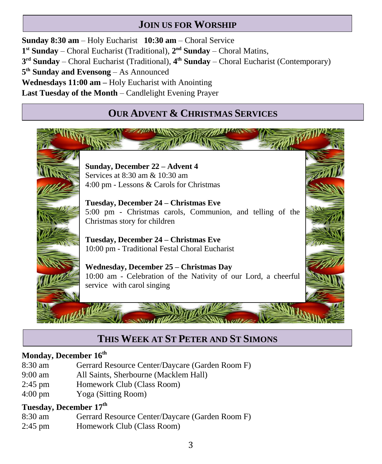## **JOIN US FOR WORSHIP**

**Sunday 8:30 am** – Holy Eucharist **10:30 am** – Choral Service 1<sup>st</sup> Sunday – Choral Eucharist (Traditional), 2<sup>nd</sup> Sunday – Choral Matins, **3 rd Sunday** – Choral Eucharist (Traditional), **4 th Sunday** – Choral Eucharist (Contemporary) **5 th Sunday and Evensong** – As Announced **Wednesdays 11:00 am –** Holy Eucharist with Anointing **Last Tuesday of the Month** – Candlelight Evening Prayer

### **OUR ADVENT & CHRISTMAS SERVICES**



## **THIS WEEK AT ST PETER AND ST SIMONS**

#### **Monday, December 16th**

- 8:30 am Gerrard Resource Center/Daycare (Garden Room F)
- 9:00 am All Saints, Sherbourne (Macklem Hall)
- 2:45 pm Homework Club (Class Room)
- 4:00 pm Yoga (Sitting Room)

### **Tuesday, December 17th**

- 8:30 am Gerrard Resource Center/Daycare (Garden Room F)
- 2:45 pm Homework Club (Class Room)